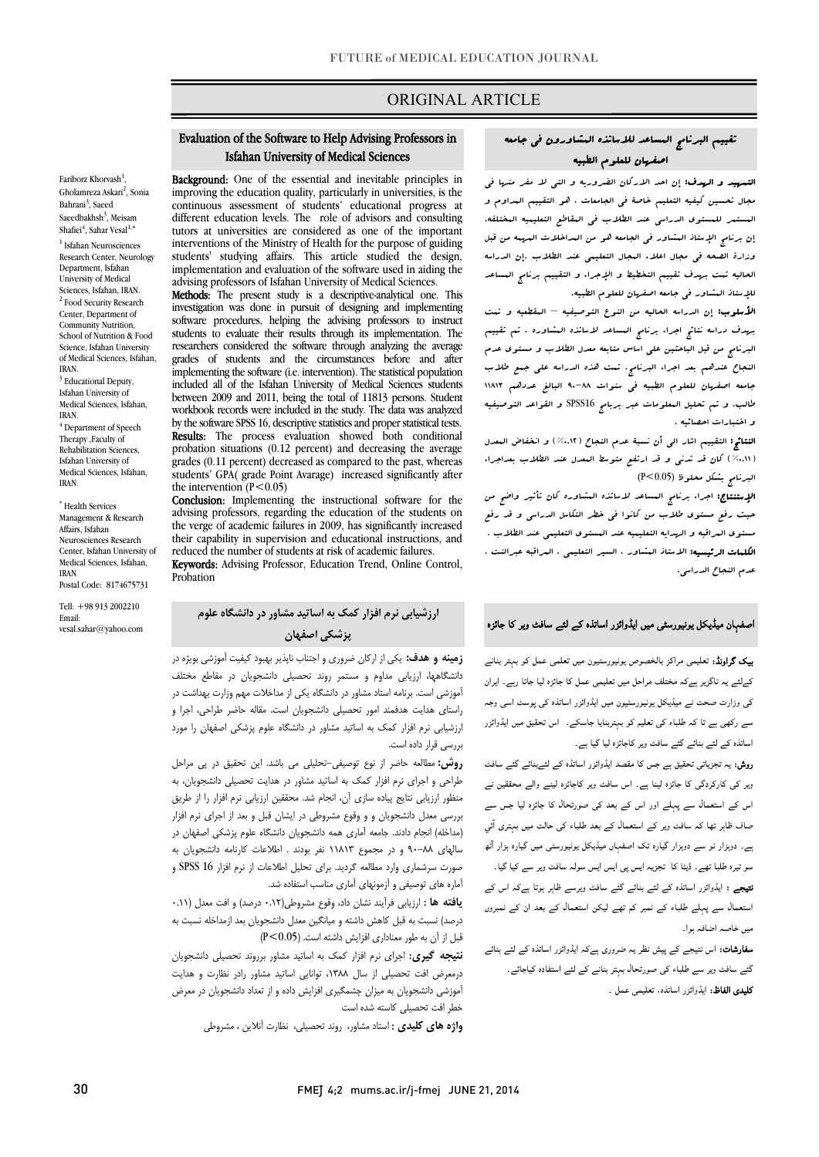## ORIGINAL ARTICLE

# Isfahan University of Medical Sciences Evaluation of the Software to Help Advising Professors in

ī

**EXAMPLE 10.** One of the essential and inevitable principles in improving the education quality, particularly in universities, is the continuous assessment of students' educational progress at tutors at universities are considered as one of the important interventions of the Ministry of Health for the purpose of guiding implementation and evaluation of the software used in aiding the advising professors of Isfahan University of Medical Sciences. Background: One of the essential and inevitable principles in different education levels. The role of advisors and consulting students' studying affairs. This article studied the design,

 investigation was done in pursuit of designing and implementing software procedures, helping the advising professors to instruct researchers considered the software through analyzing the average grades of students and the circumstances before and after<br>implementing the sefterne  $\hat{a}$  is intermation). The statistical negatives included all of the Isfahan University of Medical Sciences students workbook records were included in the study. The data was analyzed by the software SPSS 16, descriptive statistics and proper statistical tests. probation situations (0.12 percent) and decreasing the average grades (0.11 percent) decreased as compared to the past, whereas students' GPA( grade Point Avarage) increased significantly after<br>the intervention ( $P < 0.05$ ) Methods: The present study is a descriptive-analytical one. This students to evaluate their results through its implementation. The implementing the software (i.e. intervention). The statistical population between 2009 and 2011, being the total of 11813 persons. Student Results: The process evaluation showed both conditional the intervention  $(P<0.05)$ 

 Conclusion: Implementing the instructional software for the the verge of academic failures in 2009, has significantly increased their capability in supervision and educational instructions, and advising professors, regarding the education of the students on reduced the number of students at risk of academic failures.

Keywords: Advising Professor, Education Trend, Online Control, Probation

## ارزشیابی نرم افزار کمک به اساتید مشاور در دانشگاه علوم پزشکی اصفهان

 زمینه و هدف: یکی از ارکان ضروري و اجتناب ناپذیر بهبود کیفیت آموزشی بویژه در دانشگاهها، ارزیابی مداوم و مستمر روند تحصیلی دانشجویان در مقاطع مختلف<br>. بیروسی مست. بردند مست مستور در مست د. یعی از است مت مجم وزارت بهدست در<br>راستای هدایت هدفمند امور تحصیلی دانشجویان است. مقاله حاضر طراحی، اجرا و .<br>رزشیابی نرم افزار کمک به اساتید مشاور در دانشگاه علوم پزشکی اصفهان را مورد آموزشی است. برنامه استاد مشاور در دانشگاه یکی از مداخلات مهم وزارت بهداشت در بررسی قرار داده است.

**روش:** مطالعه حاضر از نوع توصیفی-تحلیلی می باشد. این تحقیق در پی مراحل طراحی و اجراي نرم افزار کمک به اساتید مشاور در هدایت تحصیلی دانشجویان، به منظور ارزیابی نتایج پیاده سازي آن، انجام شد. محققین ارزیابی نرم افزار را از طریق بررسی معدل دانشجویان و و وقوع مشروطی در ایشان قبل و بعد از اجراي نرم افزار رسد سه موجم عامله بسد ماری سبب مسیرین مست دست موم پرستی مسهن در<br>سالهای ۸۸-۹۰ و در مجموع ۱۱۸۱۳ نفر بودند . اطلاعات کارنامه دانشجویان به صورت سرشماري وارد مطالعه گردید. براي تحلیل اطلاعات از نرم افزار 16 SPSS و آماره هاي توصیفی و آزمونهاي آماري مناسب استفاده شد. (مداخله) انجام دادند. جامعه آماري همه دانشجویان دانشگاه علوم پزشکی اصفهان در

 یافته ها : ارزیابی فرآیند نشان داد، وقوع مشروطی(0.12 درصد) و افت معدل (0.11 درصد) نسبت به قبل کاهش داشته و میانگین معدل دانشجویان بعد ازمداخله نسبت به قبل از آن به طور معناداري افزایش داشته است. (0.05>P (

 نتیجه گیري: اجراي نرم افزار کمک به اساتید مشاور برروند تحصیلی دانشجویان درمعرض افت تحصیلی از سال ،1388 توانایی اساتید مشاور رادر نظارت و هدایت خطر افت تحصیلی کاسته شده است آموزشی دانشجویان به میزان چشمگیري افزایش داده و از تعداد دانشجویان در معرض

.<br>**واژه هاي کليدي :** استاد مشاور، روند تحصيلي، نظارت آنلاين ، مشروطی

## تقییم البرنامج المساعد للاساتذه المشاورون فی جامعه اصفهان للعلوم الطبیه

Ī

 التمهید و الهدف: إن احد الارکان الضروریه و التی لا مفر منها فی مجال تحسین کیفیه التعلیم خاصۀ فی الجامعات ، هو التقییم المداوم و المستمر للمستوي الدراسی عند الطلاب فی المقاطع التعلیمیه المختلفه. إن برنامج الإستاذ المشاور فی الجامعه هو من المداخلات المهمه من قبل الحالیه تمت بهدف تقییم التخطیط و الإجراء و التقییم برنامج المساعد للإستاذ المشاور فی جامعه اصفهان للعلوم الطبیه. وزارة الصحه فی مجال اعلاء المجال التعلیمی عند الطلاب .إن الدراسه

 الأسلوب: إن الدراسه الحالیه من النوع التوصیفیه – المقطعیه و تمت بهدف دراسه نتائج اجراء برنامج المساعد لاساتذه المشاوره . تم تقییم البرنامج من قبل الباحثین علی اساس متابعه معدل الطلاب و مستوي عدم النجاح عندهم بعد اجراء البرنامج. تمت هذه الدراسه علی جمع طلاب جامعه اصفهان للعلوم الطبیه فی سنوات -٨٨-٩ البالغ عددهم ١١٨١٣ طالب. و تم تحلیل المعلومات عبر بربامج 16SPSS و القواعد التوصیفیه و اختبارات احصائیه .

 النتائج: التقییم اشار الی أن نسبۀ عدم النجاح (%0.12) و انخفاض المعدل (%0.11) کان قد تدنی و قد ارتفع متوسط المعدل عند الطلاب بعداجراء البرنامج بشکل محلوظ (0.05>P(

ا**لإستنتاج:** اجراء برنامج ال**ساعد لاساتذه ال**مشاوره کان تأثیر واضح من ميت رخ مستوي التحاليا من مسوء مستر التعليمي التحالي رئيستوي التعليم<br>مستوي البراقبه و الهدایه التعلیمیه عند المستوي التعلیمی عند الطلاب . الکلمات الرئیسیه: الاستاذ المشاور ، السیر التعلیمی ، المراقبه عبرالنت ، عدم النجاح الدراسی. حیث رفع مستوي طلاب من کانوا فی خطر التکاسل الدراسی و قد رفع

### اصفہان میڈیکل یونیورسٹی میں ایڈوائزر اساتذہ کے لئے سافٹ ویر کا جائزہ

**ییک گراونڈ:** تعلیمی مراکز بالخصوص یونیورسٹیون میں تعلمی عمل کو بہتر بنانے کےلئے یہ ناگزیر ہےکہ مختلف مراحل میں تعلیمی عمل کا جائزہ لیا جاتا رہے۔ ایران کی وزارت صحت نے میڈیکل یونیورسٹیون میں ایڈوائزر اساتذہ کی پوسٹ اسی وجہ سے رکھی ہے تا کہ طلباء کی تعلیم کو بہتربنایا جاسکے۔ اس تحقیق میں ایڈوائزر استذہ کے لئے بنائے گئے سافٹ ویر کاجائزہ لیا گیا ہے۔

ر**وش:** یہ تجزیاتی تحقیق ہے جس کا مقصد ایڈوائزر اساتڈہ کے لئےبنائے گئے سافٹ ویر کی کارکردگی کا جائزہ لینا ہے۔ اس سافٹ ویر کاجائزہ لینے والے محققین نے ۔<br>اس کے استعمال سے پہلے اور اس کے بعد کی صورتحال کا جائزہ لیا جس سے ۔<br>صاف ظاہر تھا کہ سافٹ ویر کے استعمال کے بعد طلباء کی حالت میں بہتری آئی ۔<br>ے۔ دوہزار نو سے دوہزار گیارہ تک اصفہاں میڈیکل یونیورسٹی میں گیارہ ہزار آٹھ ۔<br>سو تیرہ طلبا تھے۔ ڈیٹا کا تجزیہ ایس پی ایس ایس سولہ سافٹ ویر سے کیا گیا۔ ۔<br>**تیجے :** ایڈوائزر اساتذہ کے لئے بنائے گئے سافٹ ویرسے ظاہر ہوتا ہےکہ اس کے ۔<br>ستعمال سے پہلے طلباء کے نمبر کم تھے لیکن استعمال کے بعد ان کے نمبروں ۔<br>میں خاصہ اضافہ ہوا۔

۔<br>**سفارشات:** اس نتیجے کے پیش نظر یہ ضروری ہےکہ ایڈوائزر اساتذہ کے لئے بنائے ۔<br>گئے سافٹ ویر سے طلباء کی صورتحال بہتر بنانے کے لئے استفادہ کیاجائے۔ **کلیدی الفاظ:** ایڈوائزر اساتذہ، تعلیمی عمل ۔<br>۔

Gholamreza Askari<sup>2</sup>, Sonia Bahrani<sup>3</sup>, Saeed Saeedbakhsh<sup>3</sup>, Meisam Shafiei<sup>4</sup>, Sahar Vesal<sup>1,\*</sup> <sup>1</sup> Isfahan Neurosciences Research Center, Neurology Department, Isfahan University of Medical Sciences, Isfahan, IRAN. <sup>2</sup> Food Security Research Center, Department of Community Nutrition, School of Nutrition & Food Science, Isfahan University of Medical Sciences, Isfahan, IRAN. <sup>3</sup> Educational Deputy, Isfahan University of Medical Sciences, Isfahan, IRAN.

Fariborz Khorvash $<sup>1</sup>$ </sup>

,

<sup>4</sup> Department of Speech Therapy ,Faculty of Rehabilitation Sciences, Isfahan University of Medical Sciences, Isfahan, IRAN.

\* Health Services Management & Research Affairs, Isfahan Neurosciences Research Center, Isfahan University of Medical Sciences, Isfahan, IRAN Postal Code: 8174675731

Tell: +98 913 2002210 Email: vesal.sahar@yahoo.com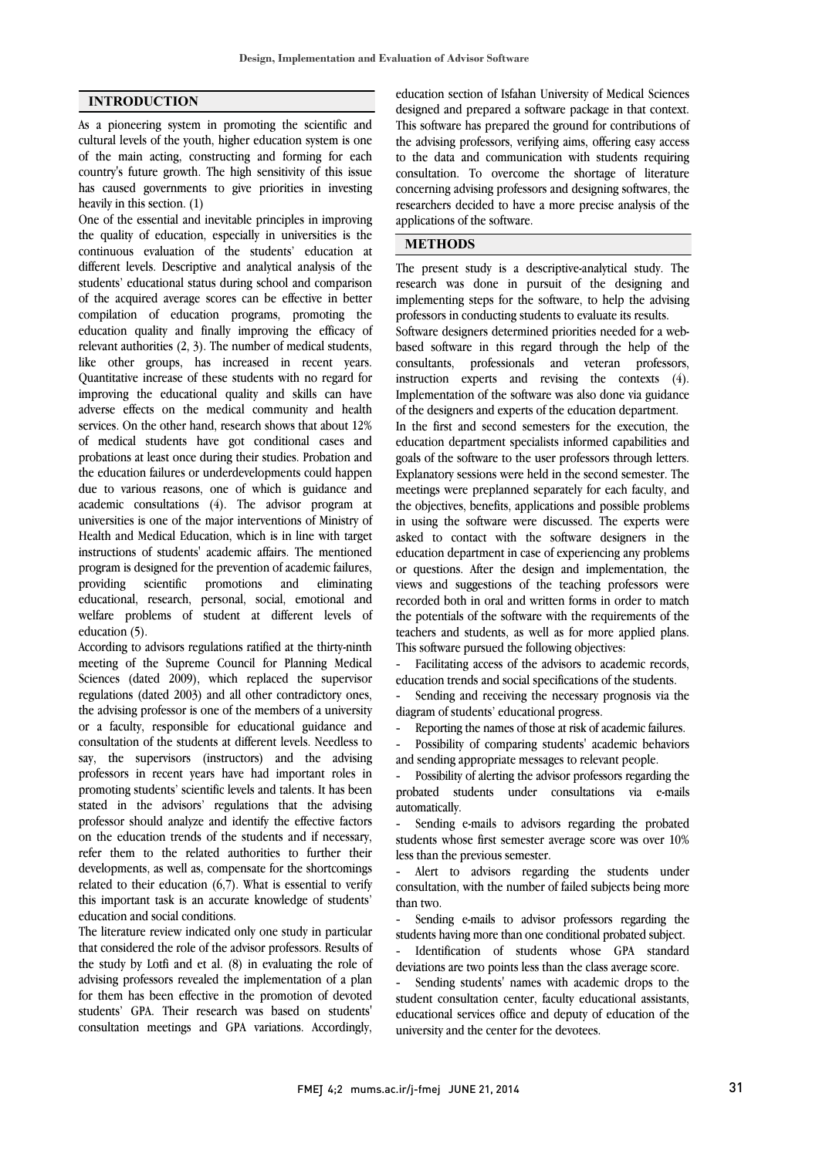### INTRODUCTION

As a pioneering system in promoting the scientific and cultural levels of the youth, higher education system is one of the main acting, constructing and forming for each country's future growth. The high sensitivity of this issue has caused governments to give priorities in investing heavily in this section. (1)

One of the essential and inevitable principles in improving the quality of education, especially in universities is the continuous evaluation of the students' education at different levels. Descriptive and analytical analysis of the students' educational status during school and comparison of the acquired average scores can be effective in better compilation of education programs, promoting the education quality and finally improving the efficacy of relevant authorities (2, 3). The number of medical students, like other groups, has increased in recent years. Quantitative increase of these students with no regard for improving the educational quality and skills can have adverse effects on the medical community and health services. On the other hand, research shows that about 12% of medical students have got conditional cases and probations at least once during their studies. Probation and the education failures or underdevelopments could happen due to various reasons, one of which is guidance and academic consultations (4). The advisor program at universities is one of the major interventions of Ministry of Health and Medical Education, which is in line with target instructions of students' academic affairs. The mentioned program is designed for the prevention of academic failures, providing scientific promotions and eliminating educational, research, personal, social, emotional and welfare problems of student at different levels of education (5).

According to advisors regulations ratified at the thirty-ninth meeting of the Supreme Council for Planning Medical Sciences (dated 2009), which replaced the supervisor regulations (dated 2003) and all other contradictory ones, the advising professor is one of the members of a university or a faculty, responsible for educational guidance and consultation of the students at different levels. Needless to say, the supervisors (instructors) and the advising professors in recent years have had important roles in promoting students' scientific levels and talents. It has been stated in the advisors' regulations that the advising professor should analyze and identify the effective factors on the education trends of the students and if necessary, refer them to the related authorities to further their developments, as well as, compensate for the shortcomings related to their education (6,7). What is essential to verify this important task is an accurate knowledge of students' education and social conditions.

The literature review indicated only one study in particular that considered the role of the advisor professors. Results of the study by Lotfi and et al. (8) in evaluating the role of advising professors revealed the implementation of a plan for them has been effective in the promotion of devoted students' GPA. Their research was based on students' consultation meetings and GPA variations. Accordingly,

 education section of Isfahan University of Medical Sciences designed and prepared a software package in that context. This software has prepared the ground for contributions of the advising professors, verifying aims, offering easy access consultation. To overcome the shortage of literature concerning advising professors and designing softwares, the researchers decided to have a more precise analysis of the applications of the software. to the data and communication with students requiring

#### METHODS

 The present study is a descriptive-analytical study. The research was done in pursuit of the designing and implementing steps for the software, to help the advising Software designers determined priorities needed for a web- based software in this regard through the help of the consultants, professionals and veteran professors, instruction experts and revising the contexts (4). of the designers and experts of the education department. professors in conducting students to evaluate its results. Implementation of the software was also done via guidance

 In the first and second semesters for the execution, the education department specialists informed capabilities and goals of the software to the user professors through letters. meetings were preplanned separately for each faculty, and the objectives, benefits, applications and possible problems in using the software were discussed. The experts were asked to contact with the software designers in the or questions. After the design and implementation, the views and suggestions of the teaching professors were recorded both in oral and written forms in order to match the potentials of the software with the requirements of the This software pursued the following objectives: Explanatory sessions were held in the second semester. The education department in case of experiencing any problems teachers and students, as well as for more applied plans.

 - Facilitating access of the advisors to academic records, education trends and social specifications of the students.

 - Sending and receiving the necessary prognosis via the diagram of students' educational progress.

- Reporting the names of those at risk of academic failures.

 - Possibility of comparing students' academic behaviors and sending appropriate messages to relevant people.

 - Possibility of alerting the advisor professors regarding the automatically. probated students under consultations via e-mails

 - Sending e-mails to advisors regarding the probated students whose first semester average score was over 10% less than the previous semester.

 consultation, with the number of failed subjects being more than two. Alert to advisors regarding the students under

 - Sending e-mails to advisor professors regarding the students having more than one conditional probated subject. deviations are two points less than the class average score. - Identification of students whose GPA standard

 - Sending students' names with academic drops to the student consultation center, faculty educational assistants, educational services office and deputy of education of the university and the center for the devotees.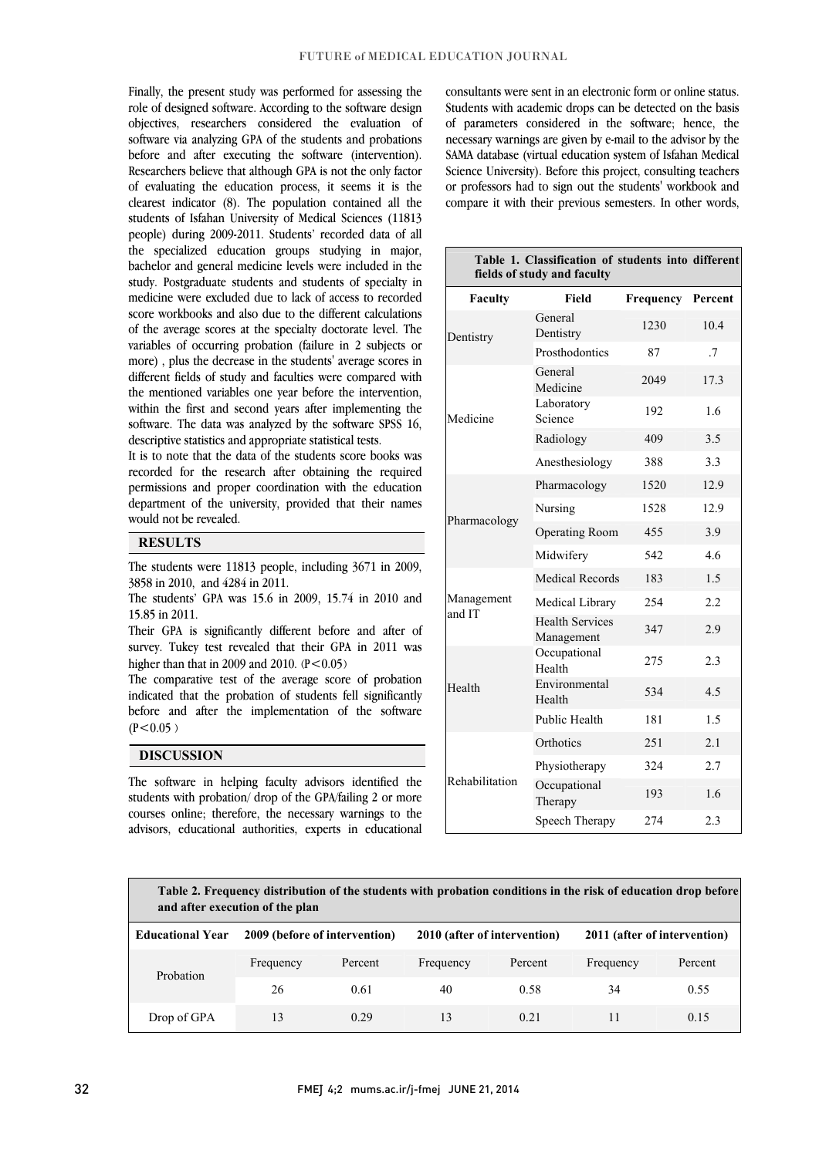Finally, the present study was performed for assessing the role of designed software. According to the software design objectives, researchers considered the evaluation of before and after executing the software (intervention). Researchers believe that although GPA is not the only factor of evaluating the education process, it seems it is the clearest indicator (8). The population contained all the people) during 2009-2011. Students' recorded data of all the specialized education groups studying in major, bachelor and general medicine levels were included in the study. Postgraduate students and students of specialty in score workbooks and also due to the different calculations of the average scores at the specialty doctorate level. The variables of occurring probation (failure in 2 subjects or more) , plus the decrease in the students' average scores in the mentioned variables one year before the intervention, within the first and second years after implementing the software. The data was analyzed by the software SPSS 16, descriptive statistics and appropriate statistical tests. software via analyzing GPA of the students and probations students of Isfahan University of Medical Sciences (11813 medicine were excluded due to lack of access to recorded different fields of study and faculties were compared with

recorded for the research after obtaining the required permissions and proper coordination with the education department of the university, provided that their names It is to note that the data of the students score books was would not be revealed.

#### **RESULTS**

 The students were 11813 people, including 3671 in 2009, 3858 in 2010, and 4284 in 2011.

 The students' GPA was 15.6 in 2009, 15.74 in 2010 and 15.85 in 2011.

 Their GPA is significantly different before and after of survey. Tukey test revealed that their GPA in 2011 was higher than that in 2009 and 2010.  $(P<0.05)$ 

 The comparative test of the average score of probation indicated that the probation of students fell significantly before and after the implementation of the software  $(26.05)$  $(P<0.05)$ 

> ֦  $\overline{a}$

#### DISCUSSION

 The software in helping faculty advisors identified the students with probation/ drop of the GPA/failing 2 or more courses online; therefore, the necessary warnings to the advisors, educational authorities, experts in educational

 consultants were sent in an electronic form or online status. Students with academic drops can be detected on the basis of parameters considered in the software; hence, the SAMA database (virtual education system of Isfahan Medical Science University). Before this project, consulting teachers or professors had to sign out the students' workbook and compare it with their previous semesters. In other words, necessary warnings are given by e-mail to the advisor by the

| Table 1. Classification of students into different<br>fields of study and faculty |                                      |           |         |  |  |  |  |  |
|-----------------------------------------------------------------------------------|--------------------------------------|-----------|---------|--|--|--|--|--|
| Faculty                                                                           | Field                                | Frequency | Percent |  |  |  |  |  |
| Dentistry                                                                         | General<br>Dentistry                 | 1230      | 10.4    |  |  |  |  |  |
|                                                                                   | Prosthodontics                       | 87        | .7      |  |  |  |  |  |
| Medicine                                                                          | General<br>Medicine                  | 2049      | 17.3    |  |  |  |  |  |
|                                                                                   | Laboratory<br>Science                | 192       | 1.6     |  |  |  |  |  |
|                                                                                   | Radiology                            | 409       | 3.5     |  |  |  |  |  |
|                                                                                   | Anesthesiology                       | 388       | 3.3     |  |  |  |  |  |
| Pharmacology                                                                      | Pharmacology                         | 1520      | 12.9    |  |  |  |  |  |
|                                                                                   | Nursing                              | 1528      | 12.9    |  |  |  |  |  |
|                                                                                   | <b>Operating Room</b>                | 455       | 3.9     |  |  |  |  |  |
|                                                                                   | Midwifery                            | 542       | 46      |  |  |  |  |  |
| Management<br>and IT                                                              | <b>Medical Records</b>               | 183       | 1.5     |  |  |  |  |  |
|                                                                                   | Medical Library                      | 254       | 2.2     |  |  |  |  |  |
|                                                                                   | <b>Health Services</b><br>Management | 347       | 2.9     |  |  |  |  |  |
| Health                                                                            | Occupational<br>Health               | 275       | 2.3     |  |  |  |  |  |
|                                                                                   | Environmental<br>Health              | 534       | 4.5     |  |  |  |  |  |
|                                                                                   | Public Health                        | 181       | 1.5     |  |  |  |  |  |
| Rehabilitation                                                                    | Orthotics                            | 251       | 2.1     |  |  |  |  |  |
|                                                                                   | Physiotherapy                        | 324       | 2.7     |  |  |  |  |  |
|                                                                                   | Occupational<br>Therapy              | 193       | 16      |  |  |  |  |  |
|                                                                                   | Speech Therapy                       | 274       | 2.3     |  |  |  |  |  |

ī Ĩ i Table 2. Frequency distribution of the students with probation conditions in the risk of education drop before and after execution of the plan

| <b>Educational Year</b> | 2009 (before of intervention) |         | 2010 (after of intervention) |         | 2011 (after of intervention) |         |
|-------------------------|-------------------------------|---------|------------------------------|---------|------------------------------|---------|
| Probation               | Frequency                     | Percent | Frequency                    | Percent | Frequency                    | Percent |
|                         | 26                            | 0.61    | 40                           | 0.58    | 34                           | 0.55    |
| Drop of GPA             | 13                            | 0.29    | 13                           | 0.21    |                              | 0.15    |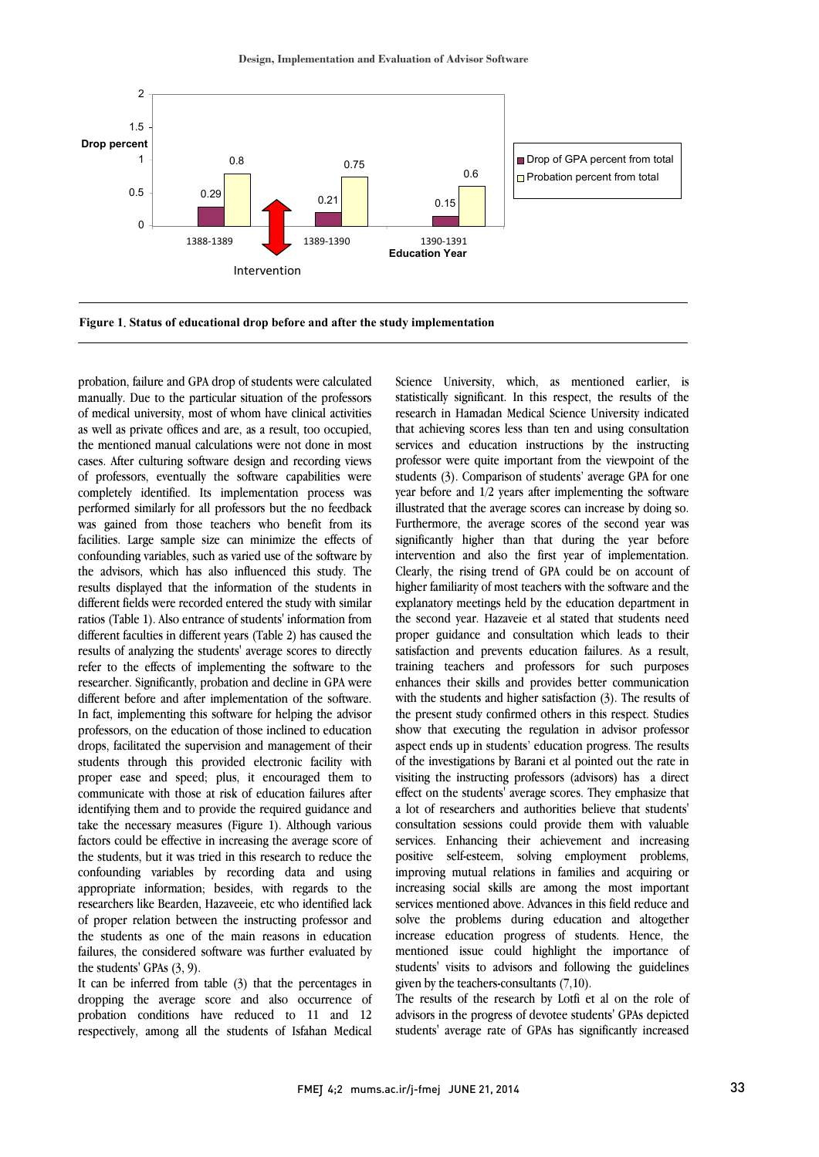

I

probation, failure and GPA drop of students were calculated manually. Due to the particular situation of the professors of medical university, most of whom have clinical activities as well as private offices and are, as a result, too occupied, the mentioned manual calculations were not done in most cases. After culturing software design and recording views of professors, eventually the software capabilities were completely identified. Its implementation process was performed similarly for all professors but the no feedback was gained from those teachers who benefit from its facilities. Large sample size can minimize the effects of confounding variables, such as varied use of the software by the advisors, which has also influenced this study. The results displayed that the information of the students in different fields were recorded entered the study with similar ratios (Table 1). Also entrance of students' information from different faculties in different years (Table 2) has caused the results of analyzing the students' average scores to directly refer to the effects of implementing the software to the researcher. Significantly, probation and decline in GPA were different before and after implementation of the software. In fact, implementing this software for helping the advisor professors, on the education of those inclined to education drops, facilitated the supervision and management of their students through this provided electronic facility with proper ease and speed; plus, it encouraged them to communicate with those at risk of education failures after identifying them and to provide the required guidance and take the necessary measures (Figure 1). Although various factors could be effective in increasing the average score of the students, but it was tried in this research to reduce the confounding variables by recording data and using appropriate information; besides, with regards to the researchers like Bearden, Hazaveeie, etc who identified lack of proper relation between the instructing professor and the students as one of the main reasons in education failures, the considered software was further evaluated by the students' GPAs (3, 9).

 respectively, among all the students of Isfahan Medical It can be inferred from table (3) that the percentages in dropping the average score and also occurrence of probation conditions have reduced to 11 and 12

 Science University, which, as mentioned earlier, is research in Hamadan Medical Science University indicated that achieving scores less than ten and using consultation services and education instructions by the instructing professor were quite important from the viewpoint of the year before and 1/2 years after implementing the software illustrated that the average scores can increase by doing so. Furthermore, the average scores of the second year was significantly higher than that during the year before Clearly, the rising trend of GPA could be on account of higher familiarity of most teachers with the software and the explanatory meetings held by the education department in the second year. Hazaveie et al stated that students need proper galaxied and consulation which ideas to their training teachers and professors for such purposes enhances their skills and provides better communication with the students and higher satisfaction (3). The results of show that executing the regulation in advisor professor aspect ends up in students' education progress. The results of the investigations by Barani et al pointed out the rate in visiting the instructing professors (advisors) has a direct a lot of researchers and authorities believe that students' consultation sessions could provide them with valuable services. Enhancing their achievement and increasing positive self-esteem, solving employment problems, increasing social skills are among the most important services mentioned above. Advances in this field reduce and solve the problems during education and altogether increase education progress of students. Hence, the students' visits to advisors and following the guidelines given by the teachers-consultants (7,10). statistically significant. In this respect, the results of the students (3). Comparison of students' average GPA for one intervention and also the first year of implementation. proper guidance and consultation which leads to their the present study confirmed others in this respect. Studies effect on the students' average scores. They emphasize that improving mutual relations in families and acquiring or mentioned issue could highlight the importance of

 The results of the research by Lotfi et al on the role of advisors in the progress of devotee students' GPAs depicted students' average rate of GPAs has significantly increased